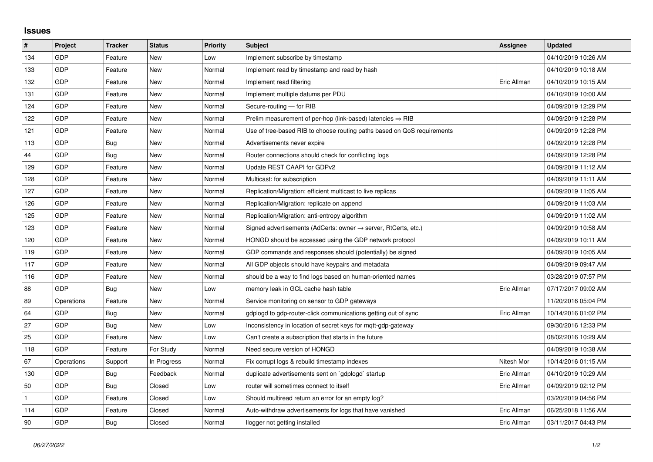## **Issues**

| #   | Project    | <b>Tracker</b> | <b>Status</b> | <b>Priority</b> | <b>Subject</b>                                                          | Assignee    | <b>Updated</b>      |
|-----|------------|----------------|---------------|-----------------|-------------------------------------------------------------------------|-------------|---------------------|
| 134 | GDP        | Feature        | <b>New</b>    | Low             | Implement subscribe by timestamp                                        |             | 04/10/2019 10:26 AM |
| 133 | GDP        | Feature        | New           | Normal          | Implement read by timestamp and read by hash                            |             | 04/10/2019 10:18 AM |
| 132 | <b>GDP</b> | Feature        | New           | Normal          | Implement read filtering                                                | Eric Allman | 04/10/2019 10:15 AM |
| 131 | GDP        | Feature        | <b>New</b>    | Normal          | Implement multiple datums per PDU                                       |             | 04/10/2019 10:00 AM |
| 124 | GDP        | Feature        | <b>New</b>    | Normal          | Secure-routing - for RIB                                                |             | 04/09/2019 12:29 PM |
| 122 | <b>GDP</b> | Feature        | New           | Normal          | Prelim measurement of per-hop (link-based) latencies $\Rightarrow$ RIB  |             | 04/09/2019 12:28 PM |
| 121 | GDP        | Feature        | <b>New</b>    | Normal          | Use of tree-based RIB to choose routing paths based on QoS requirements |             | 04/09/2019 12:28 PM |
| 113 | GDP        | Bug            | New           | Normal          | Advertisements never expire                                             |             | 04/09/2019 12:28 PM |
| 44  | GDP        | Bug            | New           | Normal          | Router connections should check for conflicting logs                    |             | 04/09/2019 12:28 PM |
| 129 | GDP        | Feature        | <b>New</b>    | Normal          | Update REST CAAPI for GDPv2                                             |             | 04/09/2019 11:12 AM |
| 128 | GDP        | Feature        | New           | Normal          | Multicast: for subscription                                             |             | 04/09/2019 11:11 AM |
| 127 | GDP        | Feature        | New           | Normal          | Replication/Migration: efficient multicast to live replicas             |             | 04/09/2019 11:05 AM |
| 126 | GDP        | Feature        | <b>New</b>    | Normal          | Replication/Migration: replicate on append                              |             | 04/09/2019 11:03 AM |
| 125 | GDP        | Feature        | New           | Normal          | Replication/Migration: anti-entropy algorithm                           |             | 04/09/2019 11:02 AM |
| 123 | GDP        | Feature        | New           | Normal          | Signed advertisements (AdCerts: owner → server, RtCerts, etc.)          |             | 04/09/2019 10:58 AM |
| 120 | GDP        | Feature        | <b>New</b>    | Normal          | HONGD should be accessed using the GDP network protocol                 |             | 04/09/2019 10:11 AM |
| 119 | GDP        | Feature        | New           | Normal          | GDP commands and responses should (potentially) be signed               |             | 04/09/2019 10:05 AM |
| 117 | GDP        | Feature        | New           | Normal          | All GDP objects should have keypairs and metadata                       |             | 04/09/2019 09:47 AM |
| 116 | GDP        | Feature        | <b>New</b>    | Normal          | should be a way to find logs based on human-oriented names              |             | 03/28/2019 07:57 PM |
| 88  | <b>GDP</b> | Bug            | New           | Low             | memory leak in GCL cache hash table                                     | Eric Allman | 07/17/2017 09:02 AM |
| 89  | Operations | Feature        | New           | Normal          | Service monitoring on sensor to GDP gateways                            |             | 11/20/2016 05:04 PM |
| 64  | GDP        | Bug            | <b>New</b>    | Normal          | gdplogd to gdp-router-click communications getting out of sync          | Eric Allman | 10/14/2016 01:02 PM |
| 27  | GDP        | Bug            | New           | Low             | Inconsistency in location of secret keys for mgtt-gdp-gateway           |             | 09/30/2016 12:33 PM |
| 25  | GDP        | Feature        | <b>New</b>    | Low             | Can't create a subscription that starts in the future                   |             | 08/02/2016 10:29 AM |
| 118 | GDP        | Feature        | For Study     | Normal          | Need secure version of HONGD                                            |             | 04/09/2019 10:38 AM |
| 67  | Operations | Support        | In Progress   | Normal          | Fix corrupt logs & rebuild timestamp indexes                            | Nitesh Mor  | 10/14/2016 01:15 AM |
| 130 | GDP        | Bug            | Feedback      | Normal          | duplicate advertisements sent on `gdplogd` startup                      | Eric Allman | 04/10/2019 10:29 AM |
| 50  | GDP        | Bug            | Closed        | Low             | router will sometimes connect to itself                                 | Eric Allman | 04/09/2019 02:12 PM |
|     | GDP        | Feature        | Closed        | Low             | Should multiread return an error for an empty log?                      |             | 03/20/2019 04:56 PM |
| 114 | GDP        | Feature        | Closed        | Normal          | Auto-withdraw advertisements for logs that have vanished                | Eric Allman | 06/25/2018 11:56 AM |
| 90  | GDP        | Bug            | Closed        | Normal          | llogger not getting installed                                           | Eric Allman | 03/11/2017 04:43 PM |